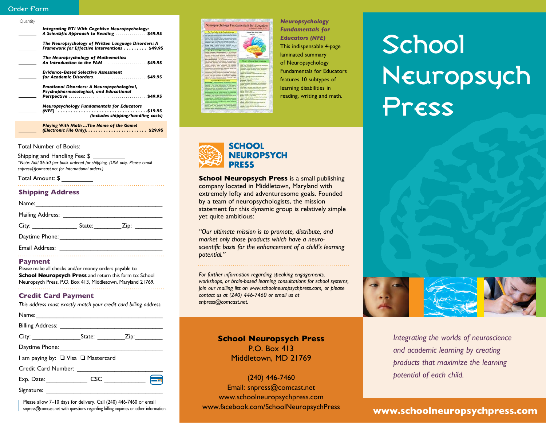### Order Form

| Ouantity |                                                                                                                                           |
|----------|-------------------------------------------------------------------------------------------------------------------------------------------|
|          | Integrating RTI With Cognitive Neuropsychology:<br>A Scientific Approach to Reading \$49.95                                               |
|          | The Neuropsychology of Written Language Disorders: A<br>Framework for Effective Interventions  \$49.95                                    |
|          | The Neuropsychology of Mathematics:                                                                                                       |
|          | <b>Evidence-Based Selective Assessment</b>                                                                                                |
|          | Emotional Disorders: A Neuropsychological,<br>Psychopharmacological, and Educational<br><b>Neuropsychology Fundamentals for Educators</b> |
|          | (includes shipping/handling costs)                                                                                                        |
|          | Playing With Math  The Name of the Game!                                                                                                  |

Total Number of Books:

Shipping and Handling Fee: \$ *\*Note: Add \$6.50 per book ordered for shipping. (USA only. Please email snpress@comcast.net for International orders.)*

Total Amount: \$

### **Shipping Address**

| Name:                                                                                                                                                                                                                          |        |      |  |
|--------------------------------------------------------------------------------------------------------------------------------------------------------------------------------------------------------------------------------|--------|------|--|
| Mailing Address: ___                                                                                                                                                                                                           |        |      |  |
| City: the contract of the contract of the contract of the contract of the contract of the contract of the contract of the contract of the contract of the contract of the contract of the contract of the contract of the cont | State: | Zip: |  |
| Daytime Phone:                                                                                                                                                                                                                 |        |      |  |
|                                                                                                                                                                                                                                |        |      |  |

#### **Payment**

Email Address:

Please make all checks and/or money orders payable to **School Neuropsych Press** and return this form to: School Neuropsych Press, P.O. Box 413, Middletown, Maryland 21769.

### **Credit Card Payment**

*This address must exactly match your credit card billing address.*

| I am paying by: □ Visa □ Mastercard |  |  |
|-------------------------------------|--|--|
|                                     |  |  |
|                                     |  |  |
|                                     |  |  |

Please allow 7–10 days for delivery. Call (240) 446-7460 or email<br>
spacess@comcast per with questions regarding billing inquiries or other information<br>
WWW.facebook.com/SchoolNeuropsychPress snpress@comcast.net with questions regarding billing inquiries or other information.



*Neuropsychology Fundamentals for Educators (NFE)* This indispensable 4-page laminated summary of Neuropsychology Fundamentals for Educators features 10 subtypes of learning disabilities in reading, writing and math.





*Integrating the worlds of neuroscience and academic learning by creating products that maximize the learning potential of each child.*

## **www.schoolneuropsychpress.com**



**School Neuropsych Press** is a small publishing company located in Middletown, Maryland with extremely lofty and adventuresome goals. Founded by a team of neuropsychologists, the mission statement for this dynamic group is relatively simple yet quite ambitious:

*"Our ultimate mission is to promote, distribute, and market only those products which have a neuroscientific basis for the enhancement of a child's learning potential."*

*For further information regarding speaking engagements, workshops, or brain-based learning consultations for school systems, join our mailing list on www.schoolneuropsychpress.com, or please contact us at (240) 446-7460 or email us at snpress@comcast.net.*

## **School Neuropsych Press** P.O. Box 413

Middletown, MD 21769

(240) 446-7460 Email: snpress@comcast.net www.schoolneuropsychpress.com